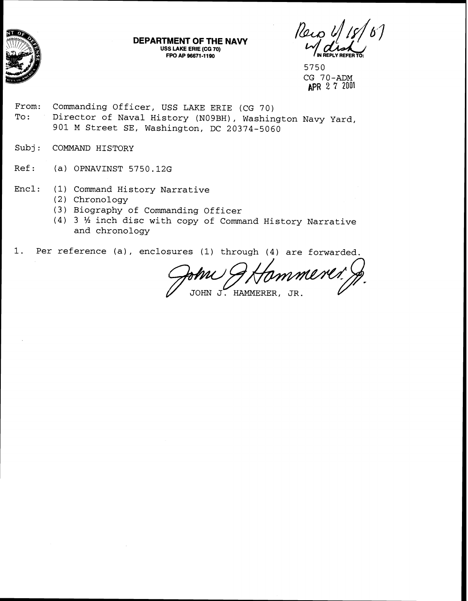

| DEPARTMENT OF THE NAVY | $\sim$ $\sim$ $\sim$ $\sim$ $\sim$ $\sim$ $\sim$ $\sim$ |
|------------------------|---------------------------------------------------------|
| USS LAKE ERIE (CG 70)  | $M_{\text{IN REPLY REFER TO:}}$                         |
| FPO AP 96671-1190      |                                                         |

Reiol

5750 CG 70-ADM APR 2 7 2001

- From: Commanding Officer, USS LAKE ERIE (CG 70) To: Director of Naval History (N09BH), Washington Navy Yard, 901 M Street SE, Washington, DC 20374-5060
- Subj: COMMAND HISTORY
- Ref: (a) OPNAVINST 5750.12G
- Encl: (1) Command History Narrative
	- (2) Chronology
	- (3) Biography of Commanding Officer
	- (4) 3 % inch disc with copy of Command History Narrative and chronology

1. Per reference (a), enclosures (1) through (4) are forwarded.

mmerer!

JOHN J. HAMMERER, JR.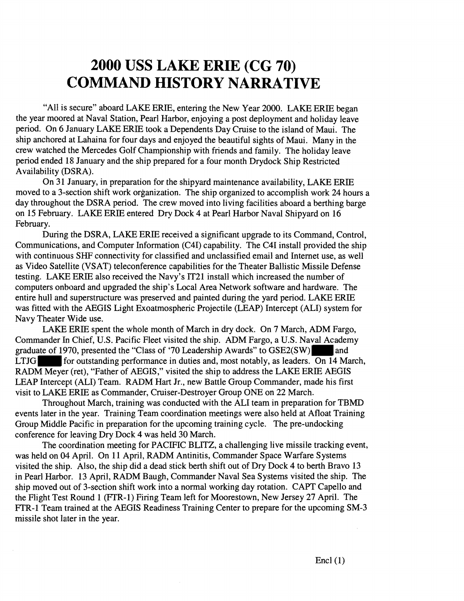## **2000 USS LAKE ERIE (CG 70) COMMAND HISTORY NARRATIVE**

"All is secure" aboard LAKE ERIE, entering the New Year 2000. LAKE ERIE began the year moorecl at Naval Station, Pearl Harbor, enjoying a post deployment and holiday leave period. On 6 January LAKE ERIE took a Dependents Day Cruise to the island of Maui. The ship anchored at Lahaina for four days and enjoyed the beautiful sights of Maui. Many in the crew watched the Mercedes Golf Championship with friends and family. The holiday leave period ended 18 January and the ship prepared for a four month Drydock Ship Restricted Availability (DSRA).

On 31 January, in preparation for the shipyard maintenance availability, LAKE ERIE moved to a 3-section shift work organization. The ship organized to accomplish work 24 hours a day throughout the DSRA period. The crew moved into living facilities aboard a berthing barge on 15 February. LAKE ERIE entered Dry Dock 4 at Pearl Harbor Naval Shipyard on 16 February.

During the DSRA, LAKE ERIE received a significant upgrade to its Command, Control, Communications, and Computer Information (C4I) capability. The C41 install provided the ship with continuous SHF connectivity for classified and unclassified email and Internet use, as well as Video Satellite (VSAT) teleconference capabilities for the Theater Ballistic Missile Defense testing. LAKE ERIE also received the Navy's IT21 install which increased the number of computers onboard and upgraded the ship's Local Area Network software and hardware. The entire hull and superstructure was preserved and painted during the yard period. LAKE ERE was fitted with the AEGIS Light Exoatmospheric Projectile (LEAP) Intercept (ALI) system for Navy Theater Wide use.

LAKE ERIE spent the whole month of March in dry dock. On 7 March, ADM Fargo, Commander In Chief, U.S. Pacific Fleet visited the ship. ADM Fargo, a U.S. Naval Academy graduate of 1970, presented the "Class of '70 Leadership Awards" to GSE2(SW) and LTJG for outstanding performance in duties and, most notably, as leaders. On  $\overline{14}$  March, RADM Meyer (ret), "Father of AEGIS," visited the ship to address the LAKE ERIE AEGIS LEAP Intercept (ALI) Team. RADM Hart Jr., new Battle Group Commander, made his first visit to LAKE ERIE as Commander, Cruiser-Destroyer Group ONE on 22 March.

Throughout March, training was conducted with the ALI team in preparation for TBMD events later in the year. Training Team coordination meetings were also held at Afloat Training Group Middle Pacific in preparation for the upcoming training cycle. The pre-undocking conference for leaving Dry Dock 4 was held 30 March.

The coordination meeting for PACIFIC BLITZ, a challenging live missile tracking event, was held on 04 April. On 11 April, RADM Antinitis, Commander Space Warfare Systems visited the ship. Also, the ship did a dead stick berth shift out of Dry Dock 4 to berth Bravo 13 in Pearl Harbor. 13 April, RADM Baugh, Commander Naval Sea Systems visited the ship. The ship moved out of 3-section shift work into a normal working day rotation. CAPT Capello and the Flight Test Round 1 (FTR-1) Firing Team left for Moorestown, New Jersey 27 April. The FTR-1 Team trained at the AEGIS Readiness Training Center to prepare for the upcoming SM-3 missile shot later in the year.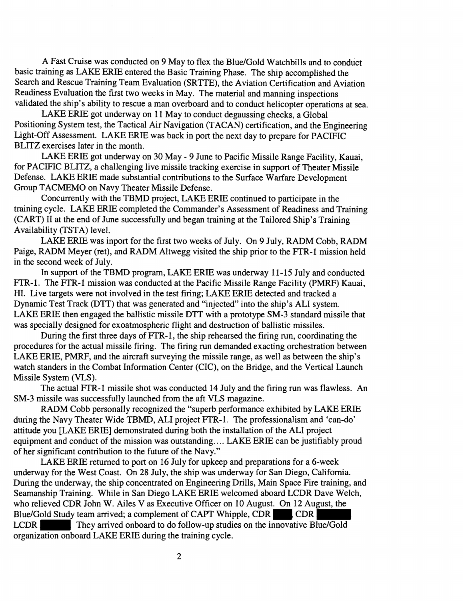A Fast Cruise was conducted on 9 May to flex the Blue/Gold Watchbills and to conduct basic training as LAKE ERIE entered the Basic Training Phase. The ship accomplished the Search and Rescue Training Team Evaluation (SRTTE), the Aviation Certification and Aviation Readiness Evaluation the first two weeks in May. The material and manning inspections validated the ship's ability to rescue a man overboard and to conduct helicopter operations at sea.

LAKE ERIE got underway on 11 May to conduct degaussing checks, a Global Positioning System test, the Tactical Air Navigation (TACAN) certification, and the Engineering Light-Off Assessment. LAKE ERIE was back in port the next day to prepare for PACIFIC BLITZ exercises later in the month.

LAKE ERIE got underway on 30 May - 9 June to Pacific Missile Range Facility, Kauai, for PACIFIC BILITZ, a challenging live missile tracking exercise in support of Theater Missile Defense. LAKE ERIE made substantial contributions to the Surface Warfare Development Group TACMEMO on Navy Theater Missile Defense.

Concurrently with the TBMD project, LAKE ERIE continued to participate in the training cycle. LAKE ERIE completed the Commander's Assessment of Readmess and Training (CART) I1 at the end of June successfully and began training at the Tailored Ship's Training Availability (TSTA) level.

LAKE ERIE was inport for the first two weeks of July. On 9 July, RADM Cobb, RADM Paige, RADM Meyer (ret), and RADM Altwegg visited the ship prior to the FTR-1 mission held in the second week of July.

In support of the TBMD program, LAKE ERIE was underway 11-15 July and conducted FTR-1. The FTR-1 mission was conducted at the Pacific Missile Range Facility (PMRF) Kauai, HI. Live targets were not involved in the test firing; LAKE ERIE detected and tracked a Dynamic Test Track (DTT) that was generated and "injected" into the ship's ALI system. LAKE ERIE then engaged the ballistic missile DTT with a prototype SM-3 standard missile that was specially designed for exoatmospheric flight and destruction of ballistic missiles.

During the first three days of FTR-1, the ship rehearsed the firing run, coordinating the procedures for the actual missile firing. The firing run demanded exacting orchestration between LAKE ERIE, PMRF, and the aircraft surveying the missile range, as well as between the ship's watch standers in the Combat Information Center (CIC), on the Bridge, and the Vertical Launch Missile System (VLS).

The actual FTR-1 missile shot was conducted 14 July and the firing run was flawless. An SM-3 missile was successfully launched from the aft VLS magazine.

RADM Cobb personally recognized the "superb performance exhibited by LAKE ERE during the Navy Theater Wide TBMD, ALI project FTR-1. The professionalism and 'can-do' attitude you [LAKE ERIE] demonstrated during both the installation of the ALI project equipment and conduct of the mission was outstanding.... LAKE ERIE can be justifiably proud of her significant contribution to the future of the Navy."

LAKE ERIE returned to port on 16 July for upkeep and preparations for a 6-week underway for the West Coast. On 28 July, the ship was underway for San Diego, California. During the underway, the ship concentrated on Engineering Drills, Main Space Fire training, and Seamanship Training. While in San Diego LAKE ERIE welcomed aboard LCDR Dave Welch, who relieved CDR John W. Ailes V as Executive Officer on 10 August. On 12 August, the Blue/Gold Study team arrived; a complement of CAPT Whipple, CDR CDR , CDR , LCDR **They arrived onboard to do follow-up studies on the innovative Blue/Gold** organization onboard LAKE ERIE during the training cycle.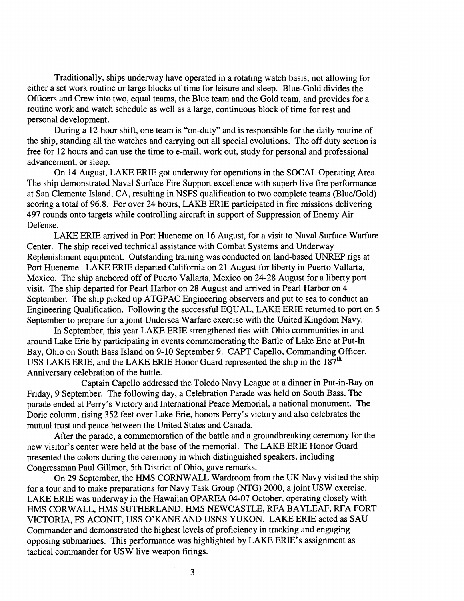Traditionally, ships underway have operated in a rotating watch basis, not allowing for either a set work routine or large blocks of time for leisure and sleep. Blue-Gold divides the Officers and Crew into two, equal teams, the Blue team and the Gold team, and provides for a routine work and watch schedule as well as a large, continuous block of time for rest and personal development.

During a 12-hour shift, one team is "on-duty" and is responsible for the daily routine of the ship, standing all the watches and carrying out all special evolutions. The off duty section is free for 12 hours and can use the time to e-mail, work out, study for personal and professional advancement, or sleep.

On 14 August, LAKE ERIE got underway for operations in the SOCAL Operating Area. The ship demonstrated Naval Surface Fire Support excellence with superb live fire performance at San Clemente Island, CA, resulting in NSFS qualification to two complete teams (Blue/Gold) scoring a total of 96.8. For over 24 hours, LAKE ERIE participated in fire missions delivering 497 rounds onto targets while controlling aircraft in support of Suppression of Enemy Air Defense.

LAKE ERIE arrived in Port Hueneme on 16 August, for a visit to Naval Surface Warfare Center. The ship received technical assistance with Combat Systems and Underway Replenishment equipment. Outstanding training was conducted on land-based UNREP rigs at Port Hueneme. LAKE ERIE departed California on 21 August for liberty in Puerto Vallarta, Mexico. The ship anchored off of Puerto Vallarta, Mexico on 24-28 August for a liberty port visit. The ship departed for Pearl Harbor on 28 August and arrived in Pearl Harbor on 4 September. The ship picked up ATGPAC Engineering observers and put to sea to conduct an Engineering Qualification. Following the successful EQUAL, LAKE ERIE returned to port on **5**  September to prepare for a joint Undersea Warfare exercise with the United Kingdom Navy.

In September, this year LAKE ERIE strengthened ties with Ohio communities in and around Lake Erie by participating in events commemorating the Battle of Lake Erie at Put-In Bay, Ohio on South Bass Island on 9-10 September 9. CAPT Capello, Commanding Officer, USS LAKE ERIE, and the LAKE ERIE Honor Guard represented the ship in the  $187<sup>th</sup>$ Anniversary celebration of the battle.

Captain Capello addressed the Toledo Navy League at a dinner in Put-in-Bay on Friday, 9 September. The following day, a Celebration Parade was held on South Bass. The parade ended at Perry's Victory and International Peace Memorial, a national monument. The Doric column, rising 352 feet over Lake Erie, honors Perry's victory and also celebrates the mutual trust and peace between the United States and Canada.

After the parade, a commemoration of the battle and a groundbreaking ceremony for the new visitor's center were held at the base of the memorial. The LAKE ERIE Honor Guard presented the colors during the ceremony in which distinguished speakers, including Congressman Paul Gillmor, 5th District of Ohio, gave remarks.

On 29 September, the HMS CORNWALL Wardroom from the UK Navy visited the ship for a tour and to make preparations for Navy Task Group (NTG) 2000, a joint USW exercise. LAKE ERIE was underway in the Hawaiian OPAREA 04-07 October, operating closely with HMS CORWALL, HMS SUTHERLAND, HMS NEWCASTLE, RFA BAYLEAF, RFA FORT VICTORIA, FS ACONIT, USS O'KANE *AND* USNS YUKON. LAKE ERIE acted as SAU Commander and demonstrated the highest levels of proficiency in tracking and engaging opposing submarines. This performance was highlighted by LAKE ERIE'S assignment as tactical commander for USW live weapon firings.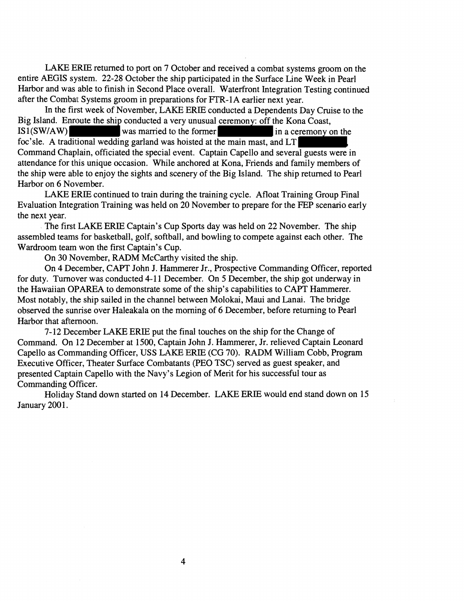LAKE ERIE returned to port on 7 October and received a combat systems groom on the entire AEGIS system. 22-28 October the ship participated in the Surface Line Week in Pearl Harbor and was able to finish in Second Place overall. Waterfront Integration Testing continued after the Combat Systems groom in preparations for FTR-1A earlier next year.

In the first week of November, LAKE ERIE conducted a Dependents Day Cruise to the Big Island. Enroute the ship conducted a very unusual ceremony: off the Kona Coast, IS1(SW/AW) was married to the former in a ceremony on the foc'sle. A traditional wedding garland was hoisted at the main mast, and LT Command Chaplain, officiated the special event. Captain Capello and several guests were in attendance for this unique occasion. While anchored at Kona, Friends and family members of the ship were able to enjoy the sights and scenery of the Big Island. The ship returned to Pearl Harbor on 6 November.

LAKE ERIE continued to train during the training cycle. Afloat Training Group Final Evaluation Integration Training was held on 20 November to prepare for the FEP scenario early the next year.

The first LAKE ERlE Captain's Cup Sports day was held on 22 November. The ship assembled teams for basketball, golf, softball, and bowling to compete against each other. The Wardroom team won the first Captain's Cup.

On 30 November, RADM McCarthy visited the ship.

On 4 December, CAPT John J. Hammerer Jr., Prospective Commanding Officer, reported for duty. Turnover was conducted 4-11 December. On 5 December, the ship got underway in the Hawaiian OPAREA to demonstrate some of the ship's capabilities to CAPT Hammerer. Most notably, the ship sailed in the channel between Molokai, Maui and Lanai. The bridge observed the sunrise over Haleakala on the morning of 6 December, before returning to Pearl Harbor that afternoon.

7-12 December LAKE ERIE put the final touches on the ship for the Change of Command. On 12 December at 1500, Captain John J. Hammerer, Jr. relieved Captain Leonard Capello as Commanding Officer, USS LAKE ERIE (CG 70). RADM William Cobb, Program Executive Officer, Theater Surface Combatants (PEO TSC) served as guest speaker, and presented Captain Capello with the Navy's Legion of Merit for his successful tour as Commanding Officer.

Holiday Stand down started on 14 December. LAKE ERIE would end stand down on 15 January 2001.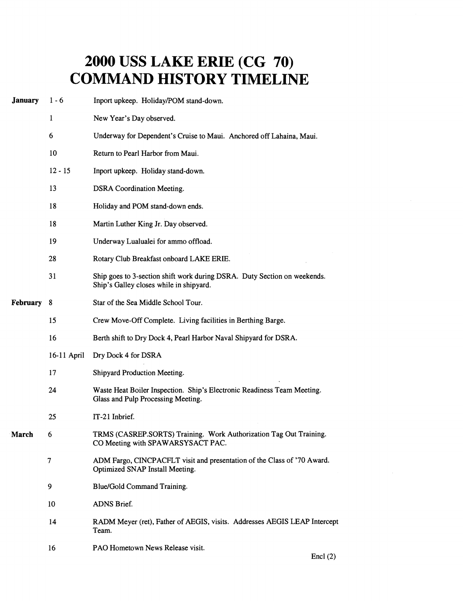## **2000 USS LAKE ERIE (CG 70) COMMAND HISTORY TIMELINE**

| $1 - 6$     | Inport upkeep. Holiday/POM stand-down.                                                                              |  |
|-------------|---------------------------------------------------------------------------------------------------------------------|--|
| 1           | New Year's Day observed.                                                                                            |  |
| 6           | Underway for Dependent's Cruise to Maui. Anchored off Lahaina, Maui.                                                |  |
| 10          | Return to Pearl Harbor from Maui.                                                                                   |  |
| $12 - 15$   | Inport upkeep. Holiday stand-down.                                                                                  |  |
| 13          | <b>DSRA</b> Coordination Meeting.                                                                                   |  |
| 18          | Holiday and POM stand-down ends.                                                                                    |  |
| 18          | Martin Luther King Jr. Day observed.                                                                                |  |
| 19          | Underway Lualualei for ammo offload.                                                                                |  |
| 28          | Rotary Club Breakfast onboard LAKE ERIE.                                                                            |  |
| 31          | Ship goes to 3-section shift work during DSRA. Duty Section on weekends.<br>Ship's Galley closes while in shipyard. |  |
| 8           | Star of the Sea Middle School Tour.                                                                                 |  |
| 15          | Crew Move-Off Complete. Living facilities in Berthing Barge.                                                        |  |
| 16          | Berth shift to Dry Dock 4, Pearl Harbor Naval Shipyard for DSRA.                                                    |  |
| 16-11 April | Dry Dock 4 for DSRA                                                                                                 |  |
| 17          | Shipyard Production Meeting.                                                                                        |  |
| 24          | Waste Heat Boiler Inspection. Ship's Electronic Readiness Team Meeting.<br>Glass and Pulp Processing Meeting.       |  |
| 25          | IT-21 Inbrief.                                                                                                      |  |
| 6.          | TRMS (CASREP.SORTS) Training. Work Authorization Tag Out Training.<br>CO Meeting with SPAWARSYSACT PAC.             |  |
| 7           | ADM Fargo, CINCPACFLT visit and presentation of the Class of '70 Award.<br>Optimized SNAP Install Meeting.          |  |
| 9           | Blue/Gold Command Training.                                                                                         |  |
| 10          | ADNS Brief.                                                                                                         |  |
| 14          | RADM Meyer (ret), Father of AEGIS, visits. Addresses AEGIS LEAP Intercept<br>Team.                                  |  |
| 16          | PAO Hometown News Release visit.<br>$E_{max}1/\Delta$                                                               |  |
|             |                                                                                                                     |  |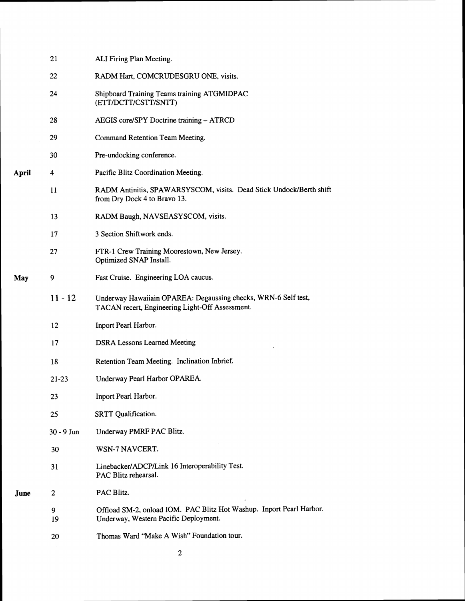|       | 21         | ALI Firing Plan Meeting.                                                                                          |
|-------|------------|-------------------------------------------------------------------------------------------------------------------|
|       | 22         | RADM Hart, COMCRUDESGRU ONE, visits.                                                                              |
|       | 24         | Shipboard Training Teams training ATGMIDPAC<br>(ETT/DCTT/CSTT/SNTT)                                               |
|       | 28         | AEGIS core/SPY Doctrine training - ATRCD                                                                          |
|       | 29         | Command Retention Team Meeting.                                                                                   |
|       | 30         | Pre-undocking conference.                                                                                         |
| April | 4          | Pacific Blitz Coordination Meeting.                                                                               |
|       | 11         | RADM Antinitis, SPAWARSYSCOM, visits. Dead Stick Undock/Berth shift<br>from Dry Dock 4 to Bravo 13.               |
|       | 13         | RADM Baugh, NAVSEASYSCOM, visits.                                                                                 |
|       | 17         | 3 Section Shiftwork ends.                                                                                         |
|       | 27         | FTR-1 Crew Training Moorestown, New Jersey.<br>Optimized SNAP Install.                                            |
| May   | 9          | Fast Cruise. Engineering LOA caucus.                                                                              |
|       | $11 - 12$  | Underway Hawaiiain OPAREA: Degaussing checks, WRN-6 Self test,<br>TACAN recert, Engineering Light-Off Assessment. |
|       | 12         | Inport Pearl Harbor.                                                                                              |
|       | 17         | <b>DSRA Lessons Learned Meeting</b>                                                                               |
|       | 18         | Retention Team Meeting. Inclination Inbrief.                                                                      |
|       | $21 - 23$  | Underway Pearl Harbor OPAREA.                                                                                     |
|       | 23         | Inport Pearl Harbor.                                                                                              |
|       | 25         | SRTT Qualification.                                                                                               |
|       | 30 - 9 Jun | Underway PMRF PAC Blitz.                                                                                          |
|       | 30         | WSN-7 NAVCERT.                                                                                                    |
|       | 31         | Linebacker/ADCP/Link 16 Interoperability Test.<br>PAC Blitz rehearsal.                                            |
| June  | 2          | PAC Blitz.                                                                                                        |
|       | 9<br>19    | Offload SM-2, onload IOM. PAC Blitz Hot Washup. Inport Pearl Harbor.<br>Underway, Western Pacific Deployment.     |
|       | 20         | Thomas Ward "Make A Wish" Foundation tour.                                                                        |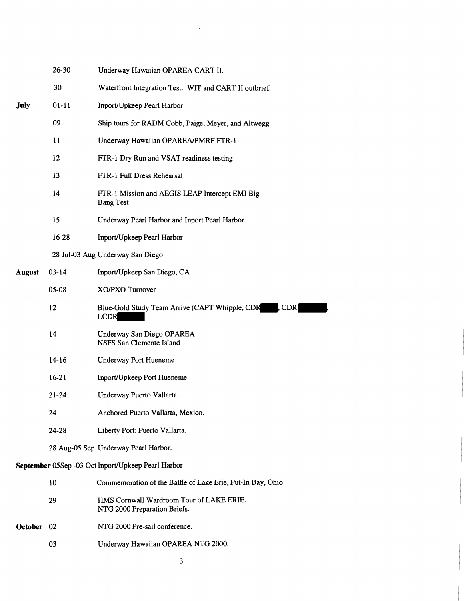|                                                    | 26-30     | Underway Hawaiian OPAREA CART II.                                           |  |
|----------------------------------------------------|-----------|-----------------------------------------------------------------------------|--|
|                                                    | 30        | Waterfront Integration Test. WIT and CART II outbrief.                      |  |
| <b>July</b>                                        | $01 - 11$ | Inport/Upkeep Pearl Harbor                                                  |  |
|                                                    | 09        | Ship tours for RADM Cobb, Paige, Meyer, and Altwegg                         |  |
|                                                    | 11        | Underway Hawaiian OPAREA/PMRF FTR-1                                         |  |
|                                                    | 12        | FTR-1 Dry Run and VSAT readiness testing                                    |  |
|                                                    | 13        | FTR-1 Full Dress Rehearsal                                                  |  |
|                                                    | 14        | FTR-1 Mission and AEGIS LEAP Intercept EMI Big<br><b>Bang Test</b>          |  |
|                                                    | 15        | Underway Pearl Harbor and Inport Pearl Harbor                               |  |
|                                                    | 16-28     | Inport/Upkeep Pearl Harbor                                                  |  |
|                                                    |           | 28 Jul-03 Aug Underway San Diego                                            |  |
| <b>August</b>                                      | $03-14$   | Inport/Upkeep San Diego, CA                                                 |  |
|                                                    | 05-08     | <b>XO/PXO</b> Turnover                                                      |  |
|                                                    | 12        | Blue-Gold Study Team Arrive (CAPT Whipple, CDR<br><b>CDR</b><br><b>LCDR</b> |  |
|                                                    | 14        | Underway San Diego OPAREA<br>NSFS San Clemente Island                       |  |
|                                                    | $14 - 16$ | <b>Underway Port Hueneme</b>                                                |  |
|                                                    | $16-21$   | Inport/Upkeep Port Hueneme                                                  |  |
|                                                    | $21 - 24$ | Underway Puerto Vallarta.                                                   |  |
|                                                    | 24        | Anchored Puerto Vallarta, Mexico.                                           |  |
|                                                    | 24-28     | Liberty Port: Puerto Vallarta.                                              |  |
|                                                    |           | 28 Aug-05 Sep Underway Pearl Harbor.                                        |  |
| September 05Sep -03 Oct Inport/Upkeep Pearl Harbor |           |                                                                             |  |
|                                                    | 10        | Commemoration of the Battle of Lake Erie, Put-In Bay, Ohio                  |  |
|                                                    | 29        | HMS Cornwall Wardroom Tour of LAKE ERIE.<br>NTG 2000 Preparation Briefs.    |  |
| October 02                                         |           | NTG 2000 Pre-sail conference.                                               |  |
|                                                    | 03        | Underway Hawaiian OPAREA NTG 2000.                                          |  |

 $\sim$   $\sim$ 

 $\mathcal{L}^{\text{max}}_{\text{max}}$